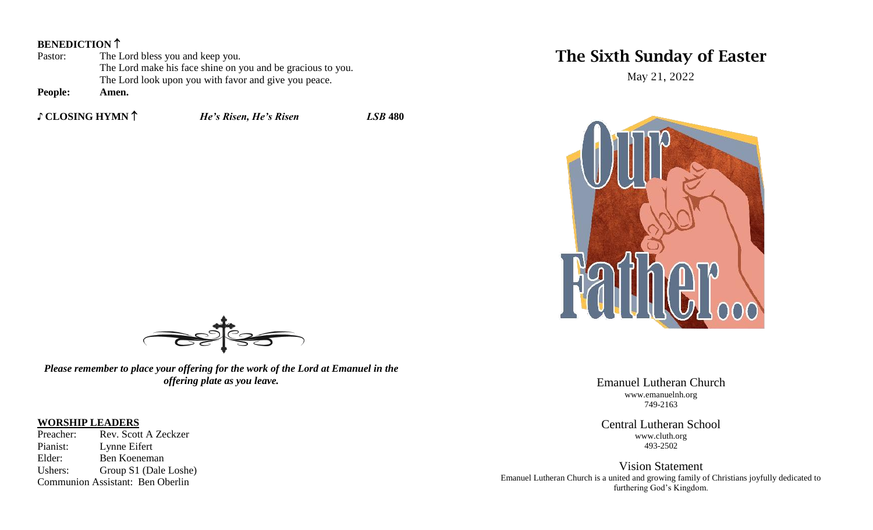#### **BENEDICTION**<sup>1</sup>

| Pastor:                                    | The Lord bless you and keep you.                            |
|--------------------------------------------|-------------------------------------------------------------|
|                                            | The Lord make his face shine on you and be gracious to you. |
|                                            | The Lord look upon you with favor and give you peace.       |
| $\mathbf{n}$ . $\mathbf{1}$ . $\mathbf{1}$ |                                                             |

**People: Amen.**

**♪ CLOSING HYMN** *He's Risen, He's Risen LSB* **480**

# The Sixth Sunday of Easter

May 21, 2022



Emanuel Lutheran Church www.emanuelnh.org 749-2163

Central Lutheran School www.cluth.org 493-2502

Vision Statement Emanuel Lutheran Church is a united and growing family of Christians joyfully dedicated to furthering God's Kingdom.



*Please remember to place your offering for the work of the Lord at Emanuel in the offering plate as you leave.*

# **WORSHIP LEADERS**<br>Preacher: Rev. Scott

Rev. Scott A Zeckzer Pianist: Lynne Eifert Elder: Ben Koeneman Ushers: Group S1 (Dale Loshe) Communion Assistant: Ben Oberlin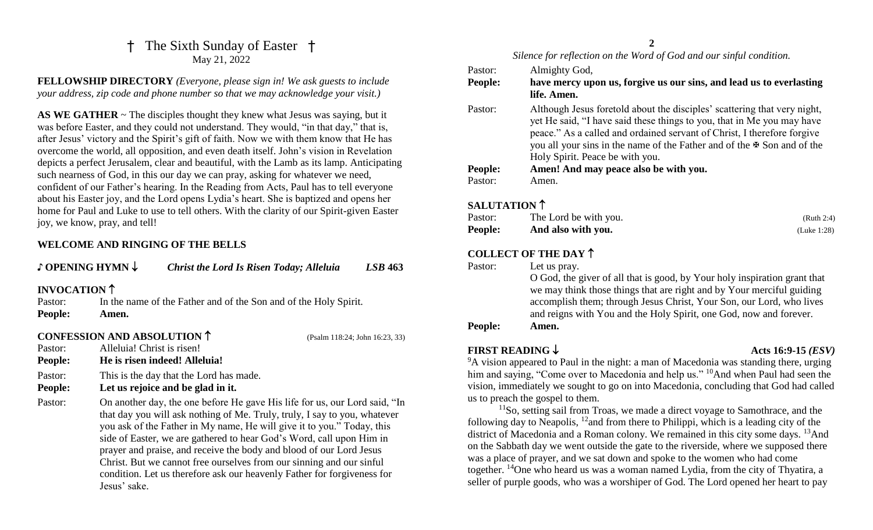### †The Sixth Sunday of Easter † May 21, 2022

**FELLOWSHIP DIRECTORY** *(Everyone, please sign in! We ask guests to include your address, zip code and phone number so that we may acknowledge your visit.)*

AS WE GATHER  $\sim$  The disciples thought they knew what Jesus was saying, but it was before Easter, and they could not understand. They would, "in that day," that is, after Jesus' victory and the Spirit's gift of faith. Now we with them know that He has overcome the world, all opposition, and even death itself. John's vision in Revelation depicts a perfect Jerusalem, clear and beautiful, with the Lamb as its lamp. Anticipating such nearness of God, in this our day we can pray, asking for whatever we need, confident of our Father's hearing. In the Reading from Acts, Paul has to tell everyone about his Easter joy, and the Lord opens Lydia's heart. She is baptized and opens her home for Paul and Luke to use to tell others. With the clarity of our Spirit-given Easter joy, we know, pray, and tell!

#### **WELCOME AND RINGING OF THE BELLS**

| $\mathfrak J$ OPENING HYMN $\downarrow$ |                            | <b>Christ the Lord Is Risen Today; Alleluia</b>                                                                                                                                                                                                                                                                                                                                                                                                                                                                                     | <b>LSB 463</b>                 |
|-----------------------------------------|----------------------------|-------------------------------------------------------------------------------------------------------------------------------------------------------------------------------------------------------------------------------------------------------------------------------------------------------------------------------------------------------------------------------------------------------------------------------------------------------------------------------------------------------------------------------------|--------------------------------|
| INVOCATION ↑                            |                            |                                                                                                                                                                                                                                                                                                                                                                                                                                                                                                                                     |                                |
| Pastor:<br>People:                      | Amen.                      | In the name of the Father and of the Son and of the Holy Spirit.                                                                                                                                                                                                                                                                                                                                                                                                                                                                    |                                |
|                                         |                            | <b>CONFESSION AND ABSOLUTION 1</b>                                                                                                                                                                                                                                                                                                                                                                                                                                                                                                  | (Psalm 118:24; John 16:23, 33) |
| Pastor:                                 | Alleluia! Christ is risen! |                                                                                                                                                                                                                                                                                                                                                                                                                                                                                                                                     |                                |
| People:                                 |                            | He is risen indeed! Alleluia!                                                                                                                                                                                                                                                                                                                                                                                                                                                                                                       |                                |
| Pastor:                                 |                            | This is the day that the Lord has made.                                                                                                                                                                                                                                                                                                                                                                                                                                                                                             |                                |
| People:                                 |                            | Let us rejoice and be glad in it.                                                                                                                                                                                                                                                                                                                                                                                                                                                                                                   |                                |
| Pastor:                                 | Jesus' sake.               | On another day, the one before He gave His life for us, our Lord said, "In<br>that day you will ask nothing of Me. Truly, truly, I say to you, whatever<br>you ask of the Father in My name, He will give it to you." Today, this<br>side of Easter, we are gathered to hear God's Word, call upon Him in<br>prayer and praise, and receive the body and blood of our Lord Jesus<br>Christ. But we cannot free ourselves from our sinning and our sinful<br>condition. Let us therefore ask our heavenly Father for forgiveness for |                                |

#### **2**

#### *Silence for reflection on the Word of God and our sinful condition.*

| Pastor:        | Almighty God,                                                                                                                                                                                                                                                                                                                                          |
|----------------|--------------------------------------------------------------------------------------------------------------------------------------------------------------------------------------------------------------------------------------------------------------------------------------------------------------------------------------------------------|
| <b>People:</b> | have mercy upon us, forgive us our sins, and lead us to everlasting<br>life. Amen.                                                                                                                                                                                                                                                                     |
| Pastor:        | Although Jesus foretold about the disciples' scattering that very night,<br>yet He said, "I have said these things to you, that in Me you may have<br>peace." As a called and ordained servant of Christ, I therefore forgive<br>you all your sins in the name of the Father and of the $\mathcal F$ Son and of the<br>Holy Spirit. Peace be with you. |
| <b>People:</b> | Amen! And may peace also be with you.                                                                                                                                                                                                                                                                                                                  |
| Pastor:        | Amen.                                                                                                                                                                                                                                                                                                                                                  |

### **SALUTATION**

| Pastor:        | The Lord be with you. | (Ruth 2:4)  |
|----------------|-----------------------|-------------|
| <b>People:</b> | And also with you.    | (Luke 1:28) |

### **COLLECT OF THE DAY**

| Pastor: | Let us pray.             |
|---------|--------------------------|
|         | $\Omega$ God the giver o |

O God, the giver of all that is good, by Your holy inspiration grant that we may think those things that are right and by Your merciful guiding accomplish them; through Jesus Christ, Your Son, our Lord, who lives and reigns with You and the Holy Spirit, one God, now and forever.

#### **People: Amen.**

#### **FIRST READING**  $\downarrow$  **Acts 16:9-15** *(ESV)*

<sup>9</sup>A vision appeared to Paul in the night: a man of Macedonia was standing there, urging him and saying, "Come over to Macedonia and help us." <sup>10</sup>And when Paul had seen the vision, immediately we sought to go on into Macedonia, concluding that God had called us to preach the gospel to them.

<sup>11</sup>So, setting sail from Troas, we made a direct voyage to Samothrace, and the following day to Neapolis,  $12$  and from there to Philippi, which is a leading city of the district of Macedonia and a Roman colony. We remained in this city some days. <sup>13</sup>And on the Sabbath day we went outside the gate to the riverside, where we supposed there was a place of prayer, and we sat down and spoke to the women who had come together. <sup>14</sup>One who heard us was a woman named Lydia, from the city of Thyatira, a seller of purple goods, who was a worshiper of God. The Lord opened her heart to pay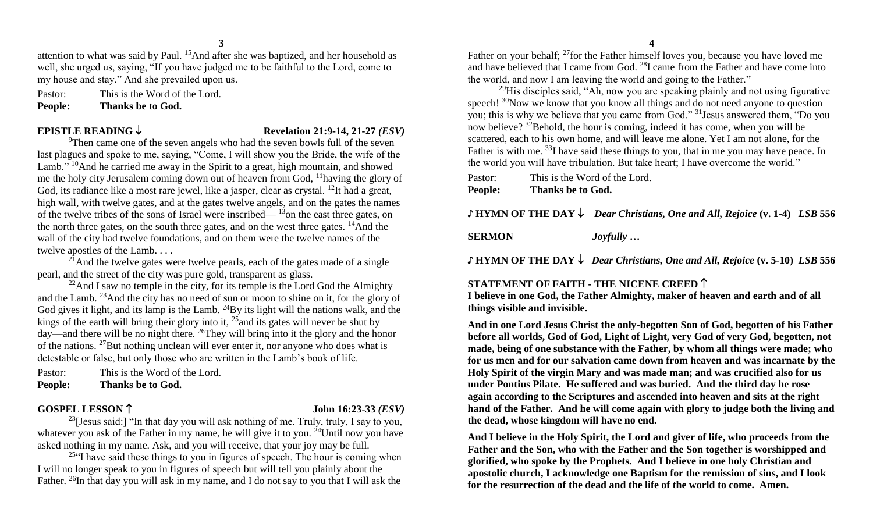attention to what was said by Paul. <sup>15</sup>And after she was baptized, and her household as well, she urged us, saying, "If you have judged me to be faithful to the Lord, come to my house and stay." And she prevailed upon us.

Pastor: This is the Word of the Lord. **People: Thanks be to God.**

**EPISTLE READING**  $\downarrow$  **Revelation 21:9-14, 21-27** *(ESV)* 

<sup>9</sup>Then came one of the seven angels who had the seven bowls full of the seven last plagues and spoke to me, saying, "Come, I will show you the Bride, the wife of the Lamb." <sup>10</sup>And he carried me away in the Spirit to a great, high mountain, and showed me the holy city Jerusalem coming down out of heaven from God, <sup>11</sup>having the glory of God, its radiance like a most rare jewel, like a jasper, clear as crystal. <sup>12</sup>It had a great, high wall, with twelve gates, and at the gates twelve angels, and on the gates the names of the twelve tribes of the sons of Israel were inscribed— $13$ on the east three gates, on the north three gates, on the south three gates, and on the west three gates. <sup>14</sup>And the wall of the city had twelve foundations, and on them were the twelve names of the twelve apostles of the Lamb. . . .

 $^{21}$ And the twelve gates were twelve pearls, each of the gates made of a single pearl, and the street of the city was pure gold, transparent as glass.

 $22$ And I saw no temple in the city, for its temple is the Lord God the Almighty and the Lamb. <sup>23</sup>And the city has no need of sun or moon to shine on it, for the glory of God gives it light, and its lamp is the Lamb.  $^{24}$ By its light will the nations walk, and the kings of the earth will bring their glory into it,  $25$  and its gates will never be shut by day—and there will be no night there. <sup>26</sup>They will bring into it the glory and the honor of the nations. <sup>27</sup>But nothing unclean will ever enter it, nor anyone who does what is detestable or false, but only those who are written in the Lamb's book of life.

Pastor: This is the Word of the Lord. **People: Thanks be to God.**

#### **GOSPEL LESSON 16:23-33** *<i>(ESV)*

<sup>23</sup>[Jesus said:] "In that day you will ask nothing of me. Truly, truly, I say to you, whatever you ask of the Father in my name, he will give it to you.  $24$ Until now you have asked nothing in my name. Ask, and you will receive, that your joy may be full.

 $25$ "I have said these things to you in figures of speech. The hour is coming when I will no longer speak to you in figures of speech but will tell you plainly about the Father. <sup>26</sup>In that day you will ask in my name, and I do not say to you that I will ask the

Father on your behalf; <sup>27</sup> for the Father himself loves you, because you have loved me and have believed that I came from God. <sup>28</sup>I came from the Father and have come into the world, and now I am leaving the world and going to the Father."

 $29$ His disciples said, "Ah, now you are speaking plainly and not using figurative speech!  $30$ Now we know that you know all things and do not need anyone to question you; this is why we believe that you came from God." <sup>31</sup>Jesus answered them, "Do you now believe? <sup>32</sup>Behold, the hour is coming, indeed it has come, when you will be scattered, each to his own home, and will leave me alone. Yet I am not alone, for the Father is with me. <sup>33</sup>I have said these things to you, that in me you may have peace. In the world you will have tribulation. But take heart; I have overcome the world."

| <b>People:</b> | Thanks be to God.             |
|----------------|-------------------------------|
| Pastor:        | This is the Word of the Lord. |

#### **♪ HYMN OF THE DAY** *Dear Christians, One and All, Rejoice* **(v. 1-4)** *LSB* **556**

**SERMON** *Joyfully …*

**♪ HYMN OF THE DAY** *Dear Christians, One and All, Rejoice* **(v. 5-10)** *LSB* **556**

#### **STATEMENT OF FAITH - THE NICENE CREED**

**I believe in one God, the Father Almighty, maker of heaven and earth and of all things visible and invisible.**

**And in one Lord Jesus Christ the only-begotten Son of God, begotten of his Father before all worlds, God of God, Light of Light, very God of very God, begotten, not made, being of one substance with the Father, by whom all things were made; who for us men and for our salvation came down from heaven and was incarnate by the Holy Spirit of the virgin Mary and was made man; and was crucified also for us under Pontius Pilate. He suffered and was buried. And the third day he rose again according to the Scriptures and ascended into heaven and sits at the right hand of the Father. And he will come again with glory to judge both the living and the dead, whose kingdom will have no end.**

**And I believe in the Holy Spirit, the Lord and giver of life, who proceeds from the Father and the Son, who with the Father and the Son together is worshipped and glorified, who spoke by the Prophets. And I believe in one holy Christian and apostolic church, I acknowledge one Baptism for the remission of sins, and I look for the resurrection of the dead and the life of the world to come. Amen.**